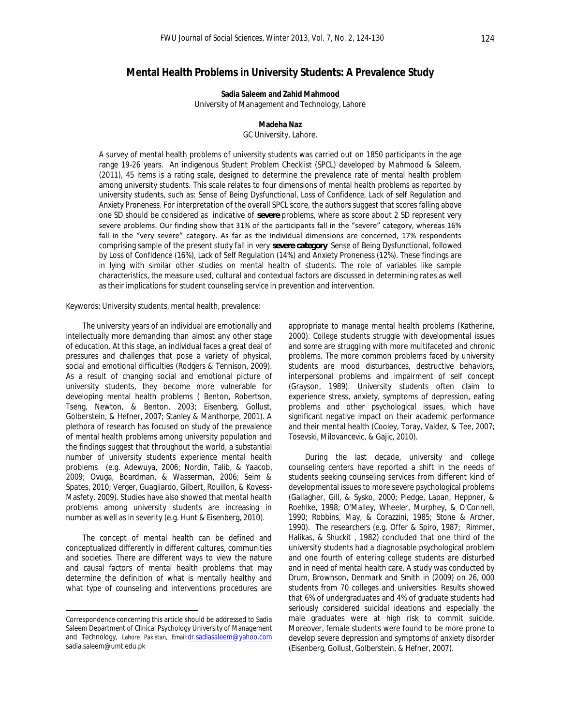# **Mental Health Problems in University Students: A Prevalence Study**

**Sadia Saleem and Zahid Mahmood**  University of Management and Technology, Lahore

## **Madeha Naz**

GC University, Lahore.

A survey of mental health problems of university students was carried out on 1850 participants in the age range 19-26 years. An indigenous Student Problem Checklist (SPCL) developed by Mahmood & Saleem, (2011), 45 items is a rating scale, designed to determine the prevalence rate of mental health problem among university students. This scale relates to four dimensions of mental health problems as reported by university students, such as: *Sense of Being Dysfunctional, Loss of Confidence, Lack of self Regulation and Anxiety Proneness*. For interpretation of the overall SPCL score, the authors suggest that scores falling above one SD should be considered as indicative of *severe* problems, where as score about 2 SD represent very severe problems. Our finding show that 31% of the participants fall in the "severe" category, whereas 16% fall in the "very severe" category. As far as the individual dimensions are concerned, 17% respondents comprising sample of the present study fall in very *severe category* Sense of Being Dysfunctional, followed by Loss of Confidence (16%), Lack of Self Regulation (14%) and Anxiety Proneness (12%). These findings are in lying with similar other studies on mental health of students. The role of variables like sample characteristics, the measure used, cultural and contextual factors are discussed in determining rates as well as their implications for student counseling service in prevention and intervention.

*Keywords:* University students, mental health, prevalence:

The university years of an individual are emotionally and intellectually more demanding than almost any other stage of education. At this stage, an individual faces a great deal of pressures and challenges that pose a variety of physical, social and emotional difficulties (Rodgers & Tennison, 2009). As a result of changing social and emotional picture of university students, they become more vulnerable for developing mental health problems ( Benton, Robertson, Tseng, Newton, & Benton, 2003; Eisenberg, Gollust, Golberstein, & Hefner, 2007; Stanley & Manthorpe, 2001). A plethora of research has focused on study of the prevalence of mental health problems among university population and the findings suggest that throughout the world, a substantial number of university students experience mental health problems (e.g. Adewuya, 2006; Nordin, Talib, & Yaacob, 2009; Ovuga, Boardman, & Wasserman, 2006; Seim & Spates, 2010; Verger, Guagliardo, Gilbert, Rouillon, & Kovess-Masfety, 2009). Studies have also showed that mental health problems among university students are increasing in number as well as in severity (e.g. Hunt & Eisenberg, 2010).

The concept of mental health can be defined and conceptualized differently in different cultures, communities and societies. There are different ways to view the nature and causal factors of mental health problems that may determine the definition of what is mentally healthy and what type of counseling and interventions procedures are

l

appropriate to manage mental health problems (Katherine, 2000). College students struggle with developmental issues and some are struggling with more multifaceted and chronic problems. The more common problems faced by university students are mood disturbances, destructive behaviors, interpersonal problems and impairment of self concept (Grayson, 1989). University students often claim to experience stress, anxiety, symptoms of depression, eating problems and other psychological issues, which have significant negative impact on their academic performance and their mental health (Cooley, Toray, Valdez, & Tee, 2007; Tosevski, Milovancevic, & Gajic, 2010).

During the last decade, university and college counseling centers have reported a shift in the needs of students seeking counseling services from different kind of developmental issues to more severe psychological problems (Gallagher, Gill, & Sysko, 2000; Pledge, Lapan, Heppner, & Roehlke, 1998; O'Malley, Wheeler, Murphey, & O'Connell, 1990; Robbins, May, & Corazzini, 1985; Stone & Archer, 1990). The researchers (e.g. Offer & Spiro, 1987; Rimmer, Halikas, & Shuckit , 1982) concluded that one third of the university students had a diagnosable psychological problem and one fourth of entering college students are disturbed and in need of mental health care. A study was conducted by Drum, Brownson, Denmark and Smith in (2009) on 26, 000 students from 70 colleges and universities. Results showed that 6% of undergraduates and 4% of graduate students had seriously considered suicidal ideations and especially the male graduates were at high risk to commit suicide. Moreover, female students were found to be more prone to develop severe depression and symptoms of anxiety disorder (Eisenberg, Gollust, Golberstein, & Hefner, 2007).

Correspondence concerning this article should be addressed to Sadia Saleem Department of Clinical Psychology University of Management and Technology, Lahore Pakistan, Email:[dr.sadiasaleem@yahoo.com](mailto:dr.sadiasaleem@yahoo.com) sadia.saleem@umt.edu.pk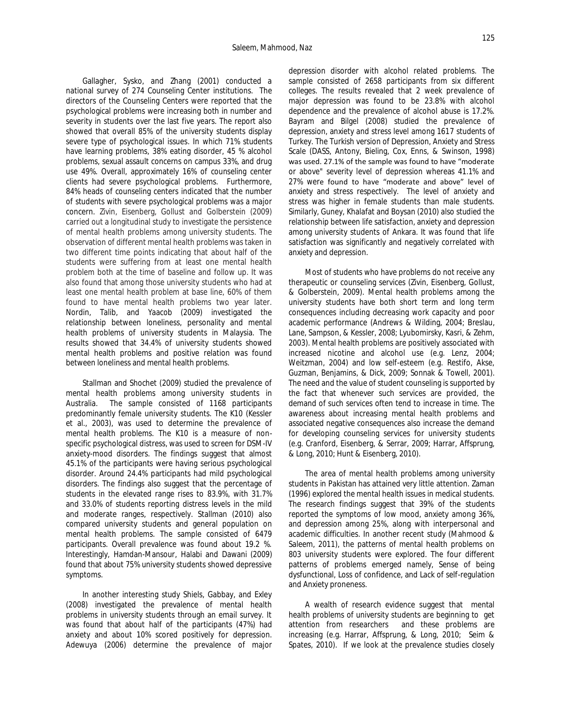Gallagher, Sysko, and Zhang (2001) conducted a national survey of 274 Counseling Center institutions. The directors of the Counseling Centers were reported that the psychological problems were increasing both in number and severity in students over the last five years. The report also showed that overall 85% of the university students display severe type of psychological issues. In which 71% students have learning problems, 38% eating disorder, 45 % alcohol problems, sexual assault concerns on campus 33%, and drug use 49%. Overall, approximately 16% of counseling center clients had severe psychological problems. Furthermore, 84% heads of counseling centers indicated that the number of students with severe psychological problems was a major concern. Zivin, Eisenberg, Gollust and Golberstein (2009) carried out a longitudinal study to investigate the persistence of mental health problems among university students. The observation of different mental health problems was taken in two different time points indicating that about half of the students were suffering from at least one mental health problem both at the time of baseline and follow up. It was also found that among those university students who had at least one mental health problem at base line, 60% of them found to have mental health problems two year later. Nordin, Talib, and Yaacob (2009) investigated the relationship between loneliness, personality and mental health problems of university students in Malaysia. The results showed that 34.4% of university students showed mental health problems and positive relation was found between loneliness and mental health problems.

Stallman and Shochet (2009) studied the prevalence of mental health problems among university students in Australia. The sample consisted of 1168 participants predominantly female university students. The K10 (Kessler et al., 2003), was used to determine the prevalence of mental health problems. The K10 is a measure of nonspecific psychological distress, was used to screen for DSM-IV anxiety-mood disorders. The findings suggest that almost 45.1% of the participants were having serious psychological disorder. Around 24.4% participants had mild psychological disorders. The findings also suggest that the percentage of students in the elevated range rises to 83.9%, with 31.7% and 33.0% of students reporting distress levels in the mild and moderate ranges, respectively. Stallman (2010) also compared university students and general population on mental health problems. The sample consisted of 6479 participants. Overall prevalence was found about 19.2 %. Interestingly, Hamdan-Mansour, Halabi and Dawani (2009) found that about 75% university students showed depressive symptoms.

In another interesting study Shiels, Gabbay, and Exley (2008) investigated the prevalence of mental health problems in university students through an email survey. It was found that about half of the participants (47%) had anxiety and about 10% scored positively for depression. Adewuya (2006) determine the prevalence of major depression disorder with alcohol related problems. The sample consisted of 2658 participants from six different colleges. The results revealed that 2 week prevalence of major depression was found to be 23.8% with alcohol dependence and the prevalence of alcohol abuse is 17.2%. Bayram and Bilgel (2008) studied the prevalence of depression, anxiety and stress level among 1617 students of Turkey. The Turkish version of Depression, Anxiety and Stress Scale (DASS, Antony, Bieling, Cox, Enns, & Swinson, 1998) was used. 27.1% of the sample was found to have "moderate or above" severity level of depression whereas 41.1% and 27% were found to have "moderate and above" level of anxiety and stress respectively. The level of anxiety and stress was higher in female students than male students. Similarly, Guney, Khalafat and Boysan (2010) also studied the relationship between life satisfaction, anxiety and depression among university students of Ankara. It was found that life satisfaction was significantly and negatively correlated with anxiety and depression.

Most of students who have problems do not receive any therapeutic or counseling services (Zivin, Eisenberg, Gollust, & Golberstein, 2009). Mental health problems among the university students have both short term and long term consequences including decreasing work capacity and poor academic performance (Andrews & Wilding, 2004; Breslau, Lane, Sampson, & Kessler, 2008; Lyubomirsky, Kasri, & Zehm, 2003). Mental health problems are positively associated with increased nicotine and alcohol use (e.g. Lenz, 2004; Weitzman, 2004) and low self-esteem (e.g. Restifo, Akse, Guzman, Benjamins, & Dick, 2009; Sonnak & Towell, 2001). The need and the value of student counseling is supported by the fact that whenever such services are provided, the demand of such services often tend to increase in time. The awareness about increasing mental health problems and associated negative consequences also increase the demand for developing counseling services for university students (e.g. Cranford, Eisenberg, & Serrar, 2009; Harrar, Affsprung, & Long, 2010; Hunt & Eisenberg, 2010).

The area of mental health problems among university students in Pakistan has attained very little attention. Zaman (1996) explored the mental health issues in medical students. The research findings suggest that 39% of the students reported the symptoms of low mood, anxiety among 36%, and depression among 25%, along with interpersonal and academic difficulties. In another recent study (Mahmood & Saleem, 2011), the patterns of mental health problems on 803 university students were explored. The four different patterns of problems emerged namely, Sense of being dysfunctional, Loss of confidence, and Lack of self-regulation and Anxiety proneness.

A wealth of research evidence suggest that mental health problems of university students are beginning to get attention from researchers and these problems are increasing (e.g. Harrar, Affsprung, & Long, 2010; Seim & Spates, 2010). If we look at the prevalence studies closely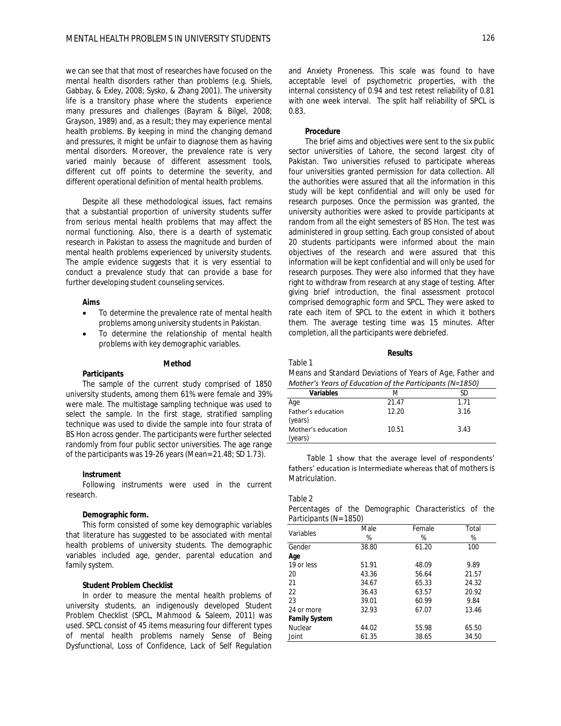we can see that that most of researches have focused on the mental health disorders rather than problems (e.g. Shiels, Gabbay, & Exley, 2008; Sysko, & Zhang 2001). The university life is a transitory phase where the students experience many pressures and challenges (Bayram & Bilgel, 2008; Grayson, 1989) and, as a result; they may experience mental health problems. By keeping in mind the changing demand and pressures, it might be unfair to diagnose them as having mental disorders. Moreover, the prevalence rate is very varied mainly because of different assessment tools, different cut off points to determine the severity, and different operational definition of mental health problems.

Despite all these methodological issues, fact remains that a substantial proportion of university students suffer from serious mental health problems that may affect the normal functioning. Also, there is a dearth of systematic research in Pakistan to assess the magnitude and burden of mental health problems experienced by university students. The ample evidence suggests that it is very essential to conduct a prevalence study that can provide a base for further developing student counseling services.

### **Aims**

- To determine the prevalence rate of mental health problems among university students in Pakistan.
- To determine the relationship of mental health problems with key demographic variables.

#### **Method**

**Participants** 

The sample of the current study comprised of 1850 university students, among them 61% were female and 39% were male. The multistage sampling technique was used to select the sample. In the first stage, stratified sampling technique was used to divide the sample into four strata of BS Hon across gender. The participants were further selected randomly from four public sector universities. The age range of the participants was 19-26 years (Mean= 21.48; *SD* 1.73).

#### **Instrument**

Following instruments were used in the current research.

## **Demographic form.**

This form consisted of some key demographic variables that literature has suggested to be associated with mental health problems of university students. The demographic variables included age, gender, parental education and family system.

## **Student Problem Checklist**

In order to measure the mental health problems of university students, an indigenously developed Student Problem Checklist (SPCL, Mahmood & Saleem, 2011) was used. SPCL consist of 45 items measuring four different types of mental health problems namely Sense of Being Dysfunctional, Loss of Confidence, Lack of Self Regulation and Anxiety Proneness. This scale was found to have acceptable level of psychometric properties, with the internal consistency of 0.94 and test retest reliability of 0.81 with one week interval. The split half reliability of SPCL is 0.83.

## **Procedure**

The brief aims and objectives were sent to the six public sector universities of Lahore, the second largest city of Pakistan. Two universities refused to participate whereas four universities granted permission for data collection. All the authorities were assured that all the information in this study will be kept confidential and will only be used for research purposes. Once the permission was granted, the university authorities were asked to provide participants at random from all the eight semesters of BS Hon. The test was administered in group setting. Each group consisted of about 20 students participants were informed about the main objectives of the research and were assured that this information will be kept confidential and will only be used for research purposes. They were also informed that they have right to withdraw from research at any stage of testing. After giving brief introduction, the final assessment protocol comprised demographic form and SPCL. They were asked to rate each item of SPCL to the extent in which it bothers them. The average testing time was 15 minutes. After completion, all the participants were debriefed.

### **Results**

### Table 1

*Means and Standard Deviations of Years of Age, Father and Mother's Years of Education of the Participants (N=1850)*

| Variables                     | M     |      |
|-------------------------------|-------|------|
| Age                           | 21.47 | 1 71 |
| Father's education<br>(years) | 12.20 | 3.16 |
| Mother's education<br>(years) | 10.51 | 3.43 |
|                               |       |      |

 Table 1 show that the average level of respondents' fathers' education is Intermediate whereas that of mothers is Matriculation.

### Table 2

*Percentages of the Demographic Characteristics of the Participants (N= 1850)*

|                      | Male  | Female | Total |
|----------------------|-------|--------|-------|
| Variables            | %     | %      | %     |
| Gender               | 38.80 | 61.20  | 100   |
| Age                  |       |        |       |
| 19 or less           | 51.91 | 48.09  | 9.89  |
| 20                   | 43.36 | 56.64  | 21.57 |
| 21                   | 34.67 | 65.33  | 24.32 |
| 22                   | 36.43 | 63.57  | 20.92 |
| 23                   | 39.01 | 60.99  | 9.84  |
| 24 or more           | 32.93 | 67.07  | 13.46 |
| <b>Family System</b> |       |        |       |
| Nuclear              | 44.02 | 55.98  | 65.50 |
| Joint                | 61.35 | 38.65  | 34.50 |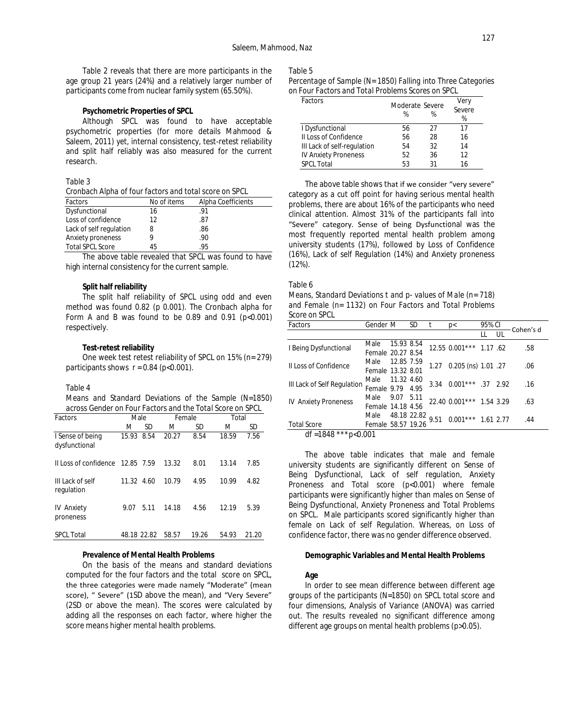Table 2 reveals that there are more participants in the age group 21 years (24%) and a relatively larger number of participants come from nuclear family system (65.50%).

### **Psychometric Properties of SPCL**

Although SPCL was found to have acceptable psychometric properties (for more details Mahmood & Saleem, 2011) yet, internal consistency, test-retest reliability and split half reliably was also measured for the current research.

### Table 3

*Cronbach Alpha of four factors and total score on SPCL*

| Factors                 | No of items | Alpha Coefficients |
|-------------------------|-------------|--------------------|
| Dysfunctional           | 16          | -91                |
| Loss of confidence      | 12          | .87                |
| Lack of self regulation | 8           | .86                |
| Anxiety proneness       |             | .90                |
| <b>Total SPCL Score</b> | 45          | 95                 |

The above table revealed that SPCL was found to have high internal consistency for the current sample.

### **Split half reliability**

The split half reliability of SPCL using odd and even method was found 0.82 (*p* 0.001). The Cronbach alpha for Form A and B was found to be 0.89 and 0.91 ( $p<0.001$ ) respectively.

#### **Test-retest reliability**

One week test retest reliability of SPCL on 15% (n= 279) participants shows  $r = 0.84$  ( $p < 0.001$ ).

#### Table 4

*Means and Standard Deviations of the Sample (N=1850) across Gender on Four Factors and the Total Score on SPCL*

| Factors                           | Male        |      | Female |       | Total |       |  |
|-----------------------------------|-------------|------|--------|-------|-------|-------|--|
|                                   | М           | SD   | М      | SD    | М     | SD    |  |
| I Sense of being<br>dysfunctional | 15.93       | 8.54 | 20.27  | 8.54  | 18.59 | 7.56  |  |
| II Loss of confidence 12.85 7.59  |             |      | 13.32  | 8.01  | 13.14 | 7.85  |  |
| III Lack of self<br>regulation    | 11.32 4.60  |      | 10.79  | 4.95  | 10.99 | 4.82  |  |
| <b>IV Anxiety</b><br>proneness    | 9 N 7       | 5.11 | 14.18  | 4.56  | 12 19 | 5.39  |  |
| SPCI Total                        | 48.18 22.82 |      | 58.57  | 19.26 | 54.93 | 21.20 |  |

### **Prevalence of Mental Health Problems**

On the basis of the means and standard deviations computed for the four factors and the total score on SPCL, the three categories were made namely "Moderate" (mean score), " Severe" (1SD above the mean), and "Very Severe" (2*SD* or above the mean). The scores were calculated by adding all the responses on each factor, where higher the score means higher mental health problems.

# Table 5

*Percentage of Sample (N= 1850) Falling into Three Categories on Four Factors and Total Problems Scores on SPCL* 

| Factors                     | Moderate Severe | Very<br>Severe |    |  |
|-----------------------------|-----------------|----------------|----|--|
|                             | ℅               | ℅              | %  |  |
| I Dysfunctional             | 56              | 27             | 17 |  |
| II Loss of Confidence       | 56              | 28             | 16 |  |
| III Lack of self-regulation | 54              | 32             | 14 |  |
| <b>IV Anxiety Proneness</b> | 52              | 36             | 12 |  |
| <b>SPCL Total</b>           | 53              | 31             | 16 |  |

The above table shows that if we consider "very severe" category as a cut off point for having serious mental health problems, there are about 16% of the participants who need clinical attention. Almost 31% of the participants fall into "Severe" category. Sense of being Dysfunctional was the most frequently reported mental health problem among university students (17%), followed by Loss of Confidence (16%), Lack of self Regulation (14%) and Anxiety proneness (12%).

## Table 6

| Means, Standard Deviations t and p- values of Male (n= 718) |
|-------------------------------------------------------------|
| and Female (n= 1132) on Four Factors and Total Problems     |
| Score on SPCL                                               |

| Factors                     | Gender M           |             | <i>SD</i> |      | D<                       | 95% CI |  | Cohen's d |
|-----------------------------|--------------------|-------------|-----------|------|--------------------------|--------|--|-----------|
|                             |                    |             |           |      |                          |        |  |           |
| I Being Dysfunctional       | Male               | 15.93 8.54  |           |      | 12.55 0.001*** 1.17 .62  |        |  | .58       |
|                             | Female 20.27 8.54  |             |           |      |                          |        |  |           |
| II Loss of Confidence       | Male               | 12.85 7.59  |           | 1.27 | 0.205 (ns) 1.01 .27      |        |  | .06       |
|                             | Female 13.32 8.01  |             |           |      |                          |        |  |           |
| III Lack of Self Regulation | Male 11.32 4.60    |             |           | 3.34 | $0.001***$ .37 2.92      |        |  | .16       |
|                             | Female 9.79 4.95   |             |           |      |                          |        |  |           |
| <b>IV Anxiety Proneness</b> | Male               | 9.07        | 5.11      |      | 22.40 0.001*** 1.54 3.29 |        |  | .63       |
|                             | Female 14.18 4.56  |             |           |      |                          |        |  |           |
|                             | Male               | 48.18 22.82 |           | 9.51 | $0.001***$ 1.61 2.77     |        |  | .44       |
| <b>Total Score</b>          | Female 58.57 19.26 |             |           |      |                          |        |  |           |
| df = 1848 *** $p < 0.001$   |                    |             |           |      |                          |        |  |           |

The above table indicates that male and female university students are significantly different on Sense of Being Dysfunctional, Lack of self regulation, Anxiety Proneness and Total score (*p*<0.001) where female participants were significantly higher than males on Sense of Being Dysfunctional, Anxiety Proneness and Total Problems on SPCL. Male participants scored significantly higher than female on Lack of self Regulation. Whereas, on Loss of confidence factor, there was no gender difference observed.

### **Demographic Variables and Mental Health Problems**

#### **Age**

In order to see mean difference between different age groups of the participants (N=1850) on SPCL total score and four dimensions, Analysis of Variance (ANOVA) was carried out. The results revealed no significant difference among different age groups on mental health problems (*p>*0.05).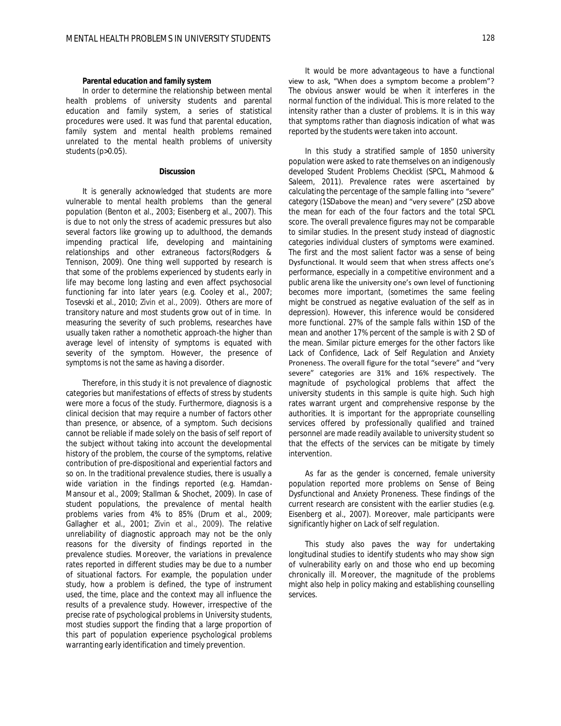## **Parental education and family system**

In order to determine the relationship between mental health problems of university students and parental education and family system, a series of statistical procedures were used. It was fund that parental education, family system and mental health problems remained unrelated to the mental health problems of university students (*p*>0.05).

#### **Discussion**

It is generally acknowledged that students are more vulnerable to mental health problems than the general population (Benton et al., 2003; Eisenberg et al., 2007). This is due to not only the stress of academic pressures but also several factors like growing up to adulthood, the demands impending practical life, developing and maintaining relationships and other extraneous factors(Rodgers & Tennison, 2009). One thing well supported by research is that some of the problems experienced by students early in life may become long lasting and even affect psychosocial functioning far into later years (e.g. Cooley et al., 2007; Tosevski et al., 2010; Zivin et al., 2009). Others are more of transitory nature and most students grow out of in time. In measuring the severity of such problems, researches have usually taken rather a nomothetic approach-the higher than average level of intensity of symptoms is equated with severity of the symptom. However, the presence of symptoms is not the same as having a disorder.

Therefore, in this study it is not prevalence of diagnostic categories but manifestations of effects of stress by students were more a focus of the study. Furthermore, diagnosis is a clinical decision that may require a number of factors other than presence, or absence, of a symptom. Such decisions cannot be reliable if made solely on the basis of self report of the subject without taking into account the developmental history of the problem, the course of the symptoms, relative contribution of pre-dispositional and experiential factors and so on. In the traditional prevalence studies, there is usually a wide variation in the findings reported (e.g. Hamdan-Mansour et al., 2009; Stallman & Shochet, 2009). In case of student populations, the prevalence of mental health problems varies from 4% to 85% (Drum et al., 2009; Gallagher et al., 2001; Zivin et al., 2009). The relative unreliability of diagnostic approach may not be the only reasons for the diversity of findings reported in the prevalence studies. Moreover, the variations in prevalence rates reported in different studies may be due to a number of situational factors. For example, the population under study, how a problem is defined, the type of instrument used, the time, place and the context may all influence the results of a prevalence study. However, irrespective of the precise rate of psychological problems in University students, most studies support the finding that a large proportion of this part of population experience psychological problems warranting early identification and timely prevention.

It would be more advantageous to have a functional view to ask, "When does a symptom become a problem"? The obvious answer would be when it interferes in the normal function of the individual. This is more related to the intensity rather than a cluster of problems. It is in this way that symptoms rather than diagnosis indication of what was reported by the students were taken into account.

In this study a stratified sample of 1850 university population were asked to rate themselves on an indigenously developed Student Problems Checklist (SPCL, Mahmood & Saleem, 2011). Prevalence rates were ascertained by calculating the percentage of the sample falling into "severe" category (1*SD*above the mean) and "very severe" (2*SD* above the mean for each of the four factors and the total SPCL score. The overall prevalence figures may not be comparable to similar studies. In the present study instead of diagnostic categories individual clusters of symptoms were examined. The first and the most salient factor was a sense of being Dysfunctional. It would seem that when stress affects one's performance, especially in a competitive environment and a public arena like the university one's own level of functioning becomes more important, (sometimes the same feeling might be construed as negative evaluation of the self as in depression). However, this inference would be considered more functional. 27% of the sample falls within 1*SD* of the mean and another 17% percent of the sample is with 2 *SD* of the mean. Similar picture emerges for the other factors like Lack of Confidence, Lack of Self Regulation and Anxiety Proneness. The overall figure for the total "severe" and "very severe" categories are 31% and 16% respectively. The magnitude of psychological problems that affect the university students in this sample is quite high. Such high rates warrant urgent and comprehensive response by the authorities. It is important for the appropriate counselling services offered by professionally qualified and trained personnel are made readily available to university student so that the effects of the services can be mitigate by timely intervention.

As far as the gender is concerned, female university population reported more problems on Sense of Being Dysfunctional and Anxiety Proneness. These findings of the current research are consistent with the earlier studies (e.g. Eisenberg et al., 2007). Moreover, male participants were significantly higher on Lack of self regulation.

This study also paves the way for undertaking longitudinal studies to identify students who may show sign of vulnerability early on and those who end up becoming chronically ill. Moreover, the magnitude of the problems might also help in policy making and establishing counselling services.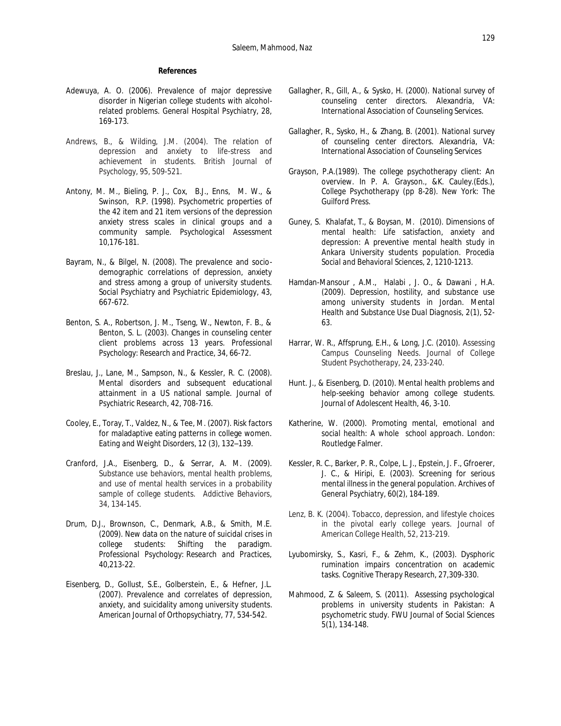## **References**

- Adewuya, A. O. (2006). Prevalence of major depressive disorder in Nigerian college students with alcoholrelated problems. *General Hospital Psychiatry, 28,*  169-173*.*
- Andrews, B., & Wilding, J.M. (2004). The relation of depression and anxiety to life-stress and achievement in students. *British Journal of Psychology, 95,* 509-521.
- Antony, M. M., Bieling, P. J., Cox, B.J., Enns, M. W., & Swinson, R.P. (1998). Psychometric properties of the 42 item and 21 item versions of the depression anxiety stress scales in clinical groups and a community sample*. Psychological Assessment 10,*176-181.
- Bayram, N., & Bilgel, N. (2008). The prevalence and sociodemographic correlations of depression, anxiety and stress among a group of university students. *Social Psychiatry and Psychiatric Epidemiology, 43,*  667-672.
- Benton, S. A., Robertson, J. M., Tseng, W., Newton, F. B., & Benton, S. L. (2003). Changes in counseling center client problems across 13 years. *Professional Psychology: Research and Practice*, *34*, 66-72.
- Breslau, J., Lane, M., Sampson, N., & Kessler, R. C. (2008). Mental disorders and subsequent educational attainment in a US national sample. *Journal of Psychiatric Research*, *42*, 708-716.
- Cooley, E., Toray, T., Valdez, N., & Tee, M. (2007). Risk factors for maladaptive eating patterns in college women. *Eating and Weight Disorders, 12* (3), 132–139.
- Cranford, J.A., Eisenberg, D., & Serrar, A. M. (2009). Substance use behaviors, mental health problems, and use of mental health services in a probability sample of college students. *Addictive Behaviors, 34,* 134-145.
- Drum, D.J., Brownson, C., Denmark, A.B., & Smith, M.E. (2009). New data on the nature of suicidal crises in college students: Shifting the paradigm. *Professional Psychology: Research and Practices, 40*,213-22.
- Eisenberg, D., Gollust, S.E., Golberstein, E., & Hefner, J.L. (2007). Prevalence and correlates of depression, anxiety, and suicidality among university students. *American Journal of Orthopsychiatry, 77,* 534-542.
- Gallagher, R., Gill, A., & Sysko, H. (2000). *National survey of counseling center directors.* Alexandria, VA: International Association of Counseling Services.
- Gallagher, R., Sysko, H., & Zhang, B. (2001). *National survey of counseling center directors.* Alexandria, VA: International Association of Counseling Services
- Grayson, P.A.(1989). The college psychotherapy client: An overview. In P. A. Grayson., &K. Cauley.(Eds.), *College Psychotherapy* (pp 8-28). New York: The Guilford Press.
- Guney, S. Khalafat, T., & Boysan, M. (2010). Dimensions of mental health: Life satisfaction, anxiety and depression: A preventive mental health study in Ankara University students population. *Procedia Social and Behavioral Sciences, 2*, 1210-1213.
- Hamdan-Mansour , A.M., Halabi , J. O., & Dawani , H.A. (2009). Depression, hostility, and substance use among university students in Jordan. *Mental Health and Substance Use Dual Diagnosis, 2*(1), 52- 63.
- Harrar, W. R., Affsprung, E.H., & Long, J.C. (2010). Assessing Campus Counseling Needs. *Journal of College Student Psychotherapy*, *24,* 233-240.
- Hunt. J., & Eisenberg, D. (2010). Mental health problems and help-seeking behavior among college students. *Journal of Adolescent Health, 46,* 3-10.
- Katherine, W. (2000). *Promoting mental, emotional and social health: A whole school approach*. [London:](http://en.wikipedia.org/wiki/London) Routledge Falmer.
- Kessler, R. C., Barker, P. R., Colpe, L. J., Epstein, J. F., Gfroerer, J. C., & Hiripi, E. (2003). Screening for serious mental illness in the general population. *Archives of General Psychiatry, 60*(2), 184-189.
- Lenz, B. K. (2004). Tobacco, depression, and lifestyle choices in the pivotal early college years. *Journal of American College Health, 52*, 213-219.
- Lyubomirsky, S., Kasri, F., & Zehm, K., (2003). Dysphoric rumination impairs concentration on academic tasks. *Cognitive Therapy Research, 27,*309-330.
- Mahmood, Z. & Saleem, S. (2011). Assessing psychological problems in university students in Pakistan: A psychometric study. *FWU Journal of Social Sciences 5*(1), 134-148.